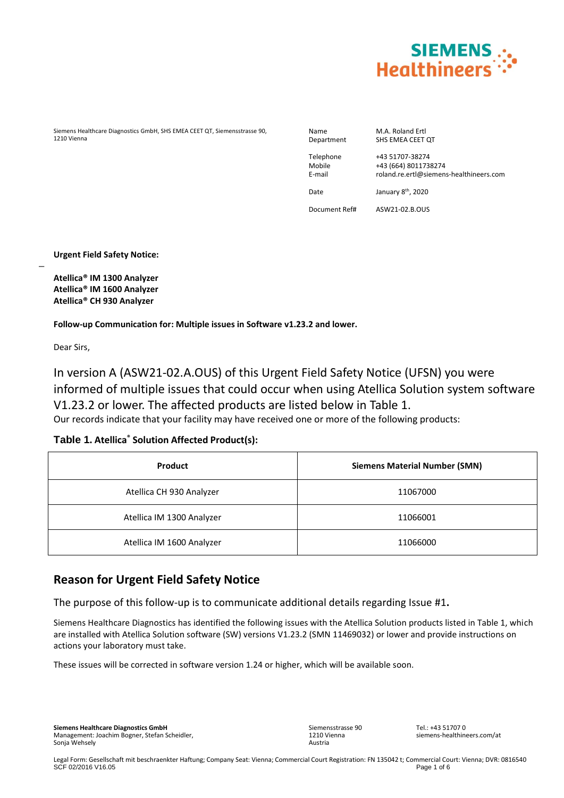

Siemens Healthcare Diagnostics GmbH, SHS EMEA CEET QT, Siemensstrasse 90, 1210 Vienna

Name M.A. Roland Ertl<br>Department SHS EMEA CEET SHS EMEA CEET QT

Telephone +43 51707-38274 Mobile +43 (664) 8011738274 E-mail roland.re.ertl@siemens-healthineers.com

Date January 8<sup>th</sup>, 2020

Document Ref# ASW21-02.B.OUS

**Urgent Field Safety Notice:**

**Atellica® IM 1300 Analyzer Atellica® IM 1600 Analyzer Atellica® CH 930 Analyzer**

**Follow-up Communication for: Multiple issues in Software v1.23.2 and lower.**

Dear Sirs,

 $\overline{a}$ 

In version A (ASW21-02.A.OUS) of this Urgent Field Safety Notice (UFSN) you were informed of multiple issues that could occur when using Atellica Solution system software V1.23.2 or lower. The affected products are listed below in Table 1. Our records indicate that your facility may have received one or more of the following products:

### **Table 1. Atellica® Solution Affected Product(s):**

| <b>Product</b>            | <b>Siemens Material Number (SMN)</b> |
|---------------------------|--------------------------------------|
| Atellica CH 930 Analyzer  | 11067000                             |
| Atellica IM 1300 Analyzer | 11066001                             |
| Atellica IM 1600 Analyzer | 11066000                             |

## **Reason for Urgent Field Safety Notice**

The purpose of this follow-up is to communicate additional details regarding Issue #1**.** 

Siemens Healthcare Diagnostics has identified the following issues with the Atellica Solution products listed in Table 1, which are installed with Atellica Solution software (SW) versions V1.23.2 (SMN 11469032) or lower and provide instructions on actions your laboratory must take.

These issues will be corrected in software version 1.24 or higher, which will be available soon.

Sonja Wehsely **Siemens Healthcare Diagnostics GmbH** Management: Joachim Bogner, Stefan Scheidler, Siemensstrasse 90 1210 Vienna Austria

 $Tel: +43517070$ siemens-healthineers.com/at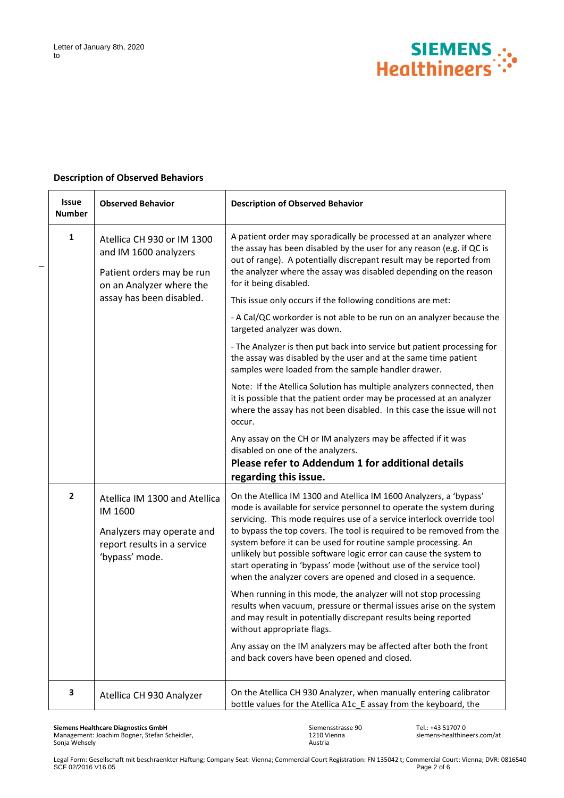

#### **Description of Observed Behaviors**

| <b>Issue</b><br><b>Number</b> | <b>Observed Behavior</b>                                                                                                                 | <b>Description of Observed Behavior</b>                                                                                                                                                                                                                                                                                                                                                                                                                                                                                                                                                                                                                                                                                                                                                                                                                                                                                                                                                                                                   |
|-------------------------------|------------------------------------------------------------------------------------------------------------------------------------------|-------------------------------------------------------------------------------------------------------------------------------------------------------------------------------------------------------------------------------------------------------------------------------------------------------------------------------------------------------------------------------------------------------------------------------------------------------------------------------------------------------------------------------------------------------------------------------------------------------------------------------------------------------------------------------------------------------------------------------------------------------------------------------------------------------------------------------------------------------------------------------------------------------------------------------------------------------------------------------------------------------------------------------------------|
| 1                             | Atellica CH 930 or IM 1300<br>and IM 1600 analyzers<br>Patient orders may be run<br>on an Analyzer where the<br>assay has been disabled. | A patient order may sporadically be processed at an analyzer where<br>the assay has been disabled by the user for any reason (e.g. if QC is<br>out of range). A potentially discrepant result may be reported from<br>the analyzer where the assay was disabled depending on the reason<br>for it being disabled.<br>This issue only occurs if the following conditions are met:<br>- A Cal/QC workorder is not able to be run on an analyzer because the<br>targeted analyzer was down.<br>- The Analyzer is then put back into service but patient processing for<br>the assay was disabled by the user and at the same time patient<br>samples were loaded from the sample handler drawer.<br>Note: If the Atellica Solution has multiple analyzers connected, then<br>it is possible that the patient order may be processed at an analyzer<br>where the assay has not been disabled. In this case the issue will not<br>occur.<br>Any assay on the CH or IM analyzers may be affected if it was<br>disabled on one of the analyzers. |
|                               |                                                                                                                                          | Please refer to Addendum 1 for additional details                                                                                                                                                                                                                                                                                                                                                                                                                                                                                                                                                                                                                                                                                                                                                                                                                                                                                                                                                                                         |
| $\mathbf{2}$                  | Atellica IM 1300 and Atellica<br>IM 1600<br>Analyzers may operate and<br>report results in a service<br>'bypass' mode.                   | regarding this issue.<br>On the Atellica IM 1300 and Atellica IM 1600 Analyzers, a 'bypass'<br>mode is available for service personnel to operate the system during<br>servicing. This mode requires use of a service interlock override tool<br>to bypass the top covers. The tool is required to be removed from the<br>system before it can be used for routine sample processing. An<br>unlikely but possible software logic error can cause the system to<br>start operating in 'bypass' mode (without use of the service tool)<br>when the analyzer covers are opened and closed in a sequence.<br>When running in this mode, the analyzer will not stop processing<br>results when vacuum, pressure or thermal issues arise on the system<br>and may result in potentially discrepant results being reported<br>without appropriate flags.<br>Any assay on the IM analyzers may be affected after both the front<br>and back covers have been opened and closed.                                                                   |
| 3                             | Atellica CH 930 Analyzer                                                                                                                 | On the Atellica CH 930 Analyzer, when manually entering calibrator<br>bottle values for the Atellica A1c_E assay from the keyboard, the                                                                                                                                                                                                                                                                                                                                                                                                                                                                                                                                                                                                                                                                                                                                                                                                                                                                                                   |

**Siemens Healthcare Diagnostics GmbH** Management: Joachim Bogner, Stefan Scheidler, Sonja Wehsely

Siemensstrasse 90 1210 Vienna Austria

Tel.: +43 51707 0 siemens-healthineers.com/at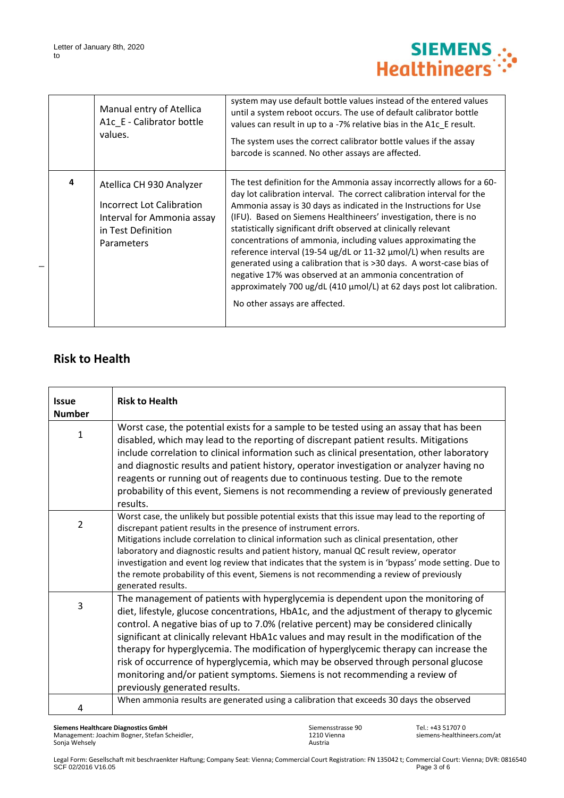

|   | Manual entry of Atellica<br>A1c E - Calibrator bottle<br>values.                                                               | system may use default bottle values instead of the entered values<br>until a system reboot occurs. The use of default calibrator bottle<br>values can result in up to a -7% relative bias in the A1c E result.<br>The system uses the correct calibrator bottle values if the assay<br>barcode is scanned. No other assays are affected.                                                                                                                                                                                                                                                                                                                                                                                                                  |
|---|--------------------------------------------------------------------------------------------------------------------------------|------------------------------------------------------------------------------------------------------------------------------------------------------------------------------------------------------------------------------------------------------------------------------------------------------------------------------------------------------------------------------------------------------------------------------------------------------------------------------------------------------------------------------------------------------------------------------------------------------------------------------------------------------------------------------------------------------------------------------------------------------------|
| 4 | Atellica CH 930 Analyzer<br>Incorrect Lot Calibration<br>Interval for Ammonia assay<br>in Test Definition<br><b>Parameters</b> | The test definition for the Ammonia assay incorrectly allows for a 60-<br>day lot calibration interval. The correct calibration interval for the<br>Ammonia assay is 30 days as indicated in the Instructions for Use<br>(IFU). Based on Siemens Healthineers' investigation, there is no<br>statistically significant drift observed at clinically relevant<br>concentrations of ammonia, including values approximating the<br>reference interval (19-54 ug/dL or 11-32 μmol/L) when results are<br>generated using a calibration that is >30 days. A worst-case bias of<br>negative 17% was observed at an ammonia concentration of<br>approximately 700 $\mu$ g/dL (410 $\mu$ mol/L) at 62 days post lot calibration.<br>No other assays are affected. |

# **Risk to Health**

| <b>Issue</b>   | <b>Risk to Health</b>                                                                                                                                                                                                                                                                                                                                                                                                                                                                                                                                                                                                                                                 |
|----------------|-----------------------------------------------------------------------------------------------------------------------------------------------------------------------------------------------------------------------------------------------------------------------------------------------------------------------------------------------------------------------------------------------------------------------------------------------------------------------------------------------------------------------------------------------------------------------------------------------------------------------------------------------------------------------|
| <b>Number</b>  |                                                                                                                                                                                                                                                                                                                                                                                                                                                                                                                                                                                                                                                                       |
| $\mathbf{1}$   | Worst case, the potential exists for a sample to be tested using an assay that has been<br>disabled, which may lead to the reporting of discrepant patient results. Mitigations<br>include correlation to clinical information such as clinical presentation, other laboratory<br>and diagnostic results and patient history, operator investigation or analyzer having no<br>reagents or running out of reagents due to continuous testing. Due to the remote<br>probability of this event, Siemens is not recommending a review of previously generated<br>results.                                                                                                 |
| $\overline{2}$ | Worst case, the unlikely but possible potential exists that this issue may lead to the reporting of<br>discrepant patient results in the presence of instrument errors.<br>Mitigations include correlation to clinical information such as clinical presentation, other<br>laboratory and diagnostic results and patient history, manual QC result review, operator<br>investigation and event log review that indicates that the system is in 'bypass' mode setting. Due to<br>the remote probability of this event, Siemens is not recommending a review of previously<br>generated results.                                                                        |
| $\overline{3}$ | The management of patients with hyperglycemia is dependent upon the monitoring of<br>diet, lifestyle, glucose concentrations, HbA1c, and the adjustment of therapy to glycemic<br>control. A negative bias of up to 7.0% (relative percent) may be considered clinically<br>significant at clinically relevant HbA1c values and may result in the modification of the<br>therapy for hyperglycemia. The modification of hyperglycemic therapy can increase the<br>risk of occurrence of hyperglycemia, which may be observed through personal glucose<br>monitoring and/or patient symptoms. Siemens is not recommending a review of<br>previously generated results. |
| 4              | When ammonia results are generated using a calibration that exceeds 30 days the observed                                                                                                                                                                                                                                                                                                                                                                                                                                                                                                                                                                              |

Siemensstrasse 90 1210 Vienna Austria

Tel.: +43 51707 0 siemens-healthineers.com/at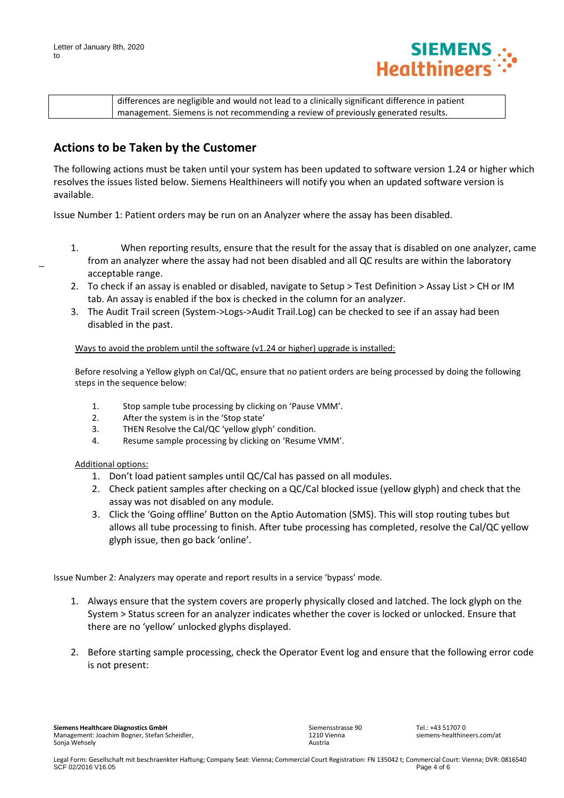

| differences are negligible and would not lead to a clinically significant difference in patient |
|-------------------------------------------------------------------------------------------------|
| <sup>1</sup> management. Siemens is not recommending a review of previously generated results.  |

## **Actions to be Taken by the Customer**

The following actions must be taken until your system has been updated to software version 1.24 or higher which resolves the issues listed below. Siemens Healthineers will notify you when an updated software version is available.

Issue Number 1: Patient orders may be run on an Analyzer where the assay has been disabled.

- 1. When reporting results, ensure that the result for the assay that is disabled on one analyzer, came from an analyzer where the assay had not been disabled and all QC results are within the laboratory acceptable range.
- 2. To check if an assay is enabled or disabled, navigate to Setup > Test Definition > Assay List > CH or IM tab. An assay is enabled if the box is checked in the column for an analyzer.
- 3. The Audit Trail screen (System->Logs->Audit Trail.Log) can be checked to see if an assay had been disabled in the past.

Ways to avoid the problem until the software (v1.24 or higher) upgrade is installed:

Before resolving a Yellow glyph on Cal/QC, ensure that no patient orders are being processed by doing the following steps in the sequence below:

- 1. Stop sample tube processing by clicking on 'Pause VMM'.
- 2. After the system is in the 'Stop state'
- 3. THEN Resolve the Cal/QC 'yellow glyph' condition.
- 4. Resume sample processing by clicking on 'Resume VMM'.

Additional options:

- 1. Don't load patient samples until QC/Cal has passed on all modules.
- 2. Check patient samples after checking on a QC/Cal blocked issue (yellow glyph) and check that the assay was not disabled on any module.
- 3. Click the 'Going offline' Button on the Aptio Automation (SMS). This will stop routing tubes but allows all tube processing to finish. After tube processing has completed, resolve the Cal/QC yellow glyph issue, then go back 'online'.

Issue Number 2: Analyzers may operate and report results in a service 'bypass' mode.

- 1. Always ensure that the system covers are properly physically closed and latched. The lock glyph on the System > Status screen for an analyzer indicates whether the cover is locked or unlocked. Ensure that there are no 'yellow' unlocked glyphs displayed.
- 2. Before starting sample processing, check the Operator Event log and ensure that the following error code is not present: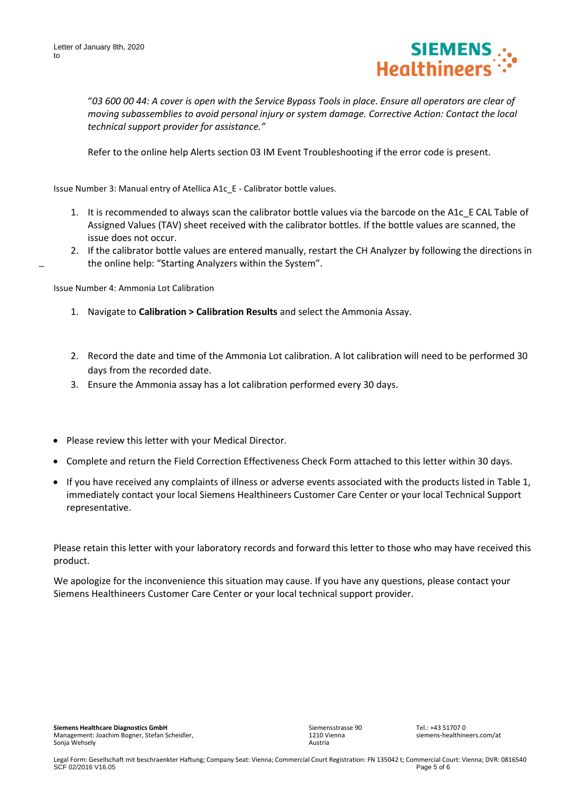

"*03 600 00 44: A cover is open with the Service Bypass Tools in place. Ensure all operators are clear of moving subassemblies to avoid personal injury or system damage. Corrective Action: Contact the local technical support provider for assistance."*

Refer to the online help Alerts section 03 IM Event Troubleshooting if the error code is present.

Issue Number 3: Manual entry of Atellica A1c\_E - Calibrator bottle values.

- 1. It is recommended to always scan the calibrator bottle values via the barcode on the A1c\_E CAL Table of Assigned Values (TAV) sheet received with the calibrator bottles. If the bottle values are scanned, the issue does not occur.
- 2. If the calibrator bottle values are entered manually, restart the CH Analyzer by following the directions in the online help: "Starting Analyzers within the System".

Issue Number 4: Ammonia Lot Calibration

 $\overline{a}$ 

- 1. Navigate to **Calibration > Calibration Results** and select the Ammonia Assay.
- 2. Record the date and time of the Ammonia Lot calibration. A lot calibration will need to be performed 30 days from the recorded date.
- 3. Ensure the Ammonia assay has a lot calibration performed every 30 days.
- Please review this letter with your Medical Director.
- Complete and return the Field Correction Effectiveness Check Form attached to this letter within 30 days.
- If you have received any complaints of illness or adverse events associated with the products listed in Table 1, immediately contact your local Siemens Healthineers Customer Care Center or your local Technical Support representative.

Please retain this letter with your laboratory records and forward this letter to those who may have received this product.

We apologize for the inconvenience this situation may cause. If you have any questions, please contact your Siemens Healthineers Customer Care Center or your local technical support provider.

Siemensstrasse 90 1210 Vienna Austria

 $Tel: +43517070$ siemens-healthineers.com/at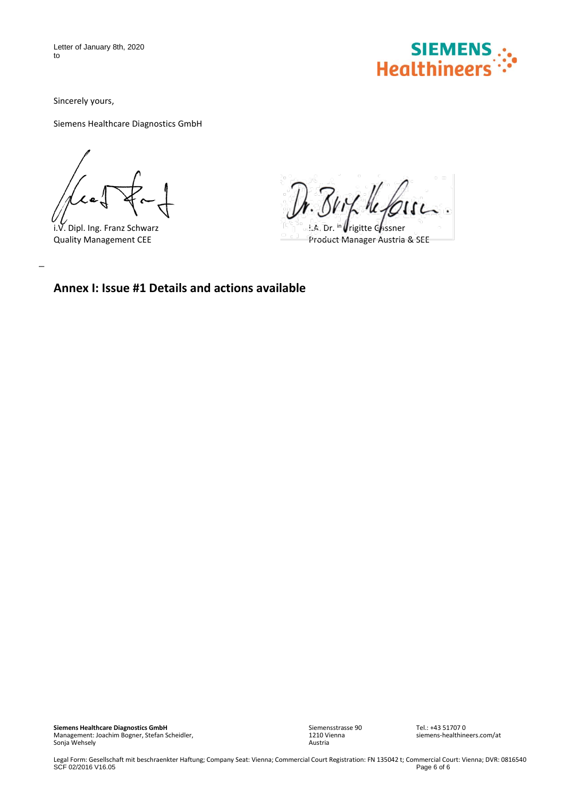Letter of January 8th, 2020 to



Sincerely yours,

Siemens Healthcare Diagnostics GmbH

i.V. Dipl. Ing. Franz Schwarz

 $\overline{a}$ 

Dr. Brit les  $\ddotsc$ 

i.A. Dr. in  $\sqrt{\frac{1}{2}}$ rigitte Gassner Quality Management CEE Product Manager Austria & SEE

## **Annex I: Issue #1 Details and actions available**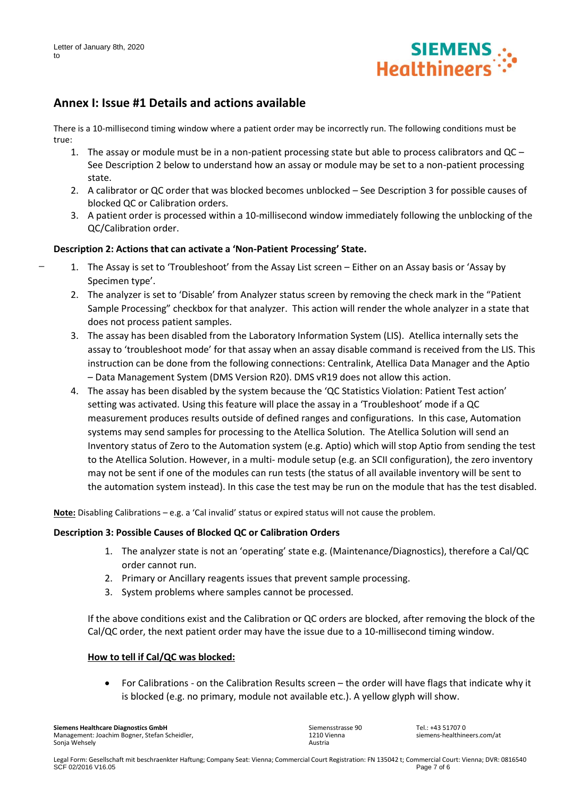

## **Annex I: Issue #1 Details and actions available**

There is a 10-millisecond timing window where a patient order may be incorrectly run. The following conditions must be true:

- 1. The assay or module must be in a non-patient processing state but able to process calibrators and QC See Description 2 below to understand how an assay or module may be set to a non-patient processing state.
- 2. A calibrator or QC order that was blocked becomes unblocked See Description 3 for possible causes of blocked QC or Calibration orders.
- 3. A patient order is processed within a 10-millisecond window immediately following the unblocking of the QC/Calibration order.

### **Description 2: Actions that can activate a 'Non-Patient Processing' State.**

- 1. The Assay is set to 'Troubleshoot' from the Assay List screen Either on an Assay basis or 'Assay by Specimen type'.
- 2. The analyzer is set to 'Disable' from Analyzer status screen by removing the check mark in the "Patient Sample Processing" checkbox for that analyzer. This action will render the whole analyzer in a state that does not process patient samples.
- 3. The assay has been disabled from the Laboratory Information System (LIS). Atellica internally sets the assay to 'troubleshoot mode' for that assay when an assay disable command is received from the LIS. This instruction can be done from the following connections: Centralink, Atellica Data Manager and the Aptio – Data Management System (DMS Version R20). DMS vR19 does not allow this action.
- 4. The assay has been disabled by the system because the 'QC Statistics Violation: Patient Test action' setting was activated. Using this feature will place the assay in a 'Troubleshoot' mode if a QC measurement produces results outside of defined ranges and configurations. In this case, Automation systems may send samples for processing to the Atellica Solution. The Atellica Solution will send an Inventory status of Zero to the Automation system (e.g. Aptio) which will stop Aptio from sending the test to the Atellica Solution. However, in a multi- module setup (e.g. an SCII configuration), the zero inventory may not be sent if one of the modules can run tests (the status of all available inventory will be sent to the automation system instead). In this case the test may be run on the module that has the test disabled.

**Note:** Disabling Calibrations – e.g. a 'Cal invalid' status or expired status will not cause the problem.

### **Description 3: Possible Causes of Blocked QC or Calibration Orders**

- 1. The analyzer state is not an 'operating' state e.g. (Maintenance/Diagnostics), therefore a Cal/QC order cannot run.
- 2. Primary or Ancillary reagents issues that prevent sample processing.
- 3. System problems where samples cannot be processed.

If the above conditions exist and the Calibration or QC orders are blocked, after removing the block of the Cal/QC order, the next patient order may have the issue due to a 10-millisecond timing window.

### **How to tell if Cal/QC was blocked:**

• For Calibrations - on the Calibration Results screen – the order will have flags that indicate why it is blocked (e.g. no primary, module not available etc.). A yellow glyph will show.

**Siemens Healthcare Diagnostics GmbH** Management: Joachim Bogner, Stefan Scheidler, Sonja Wehsely

Siemensstrasse 90 1210 Vienna Austria

 $Tel: +43517070$ siemens-healthineers.com/at